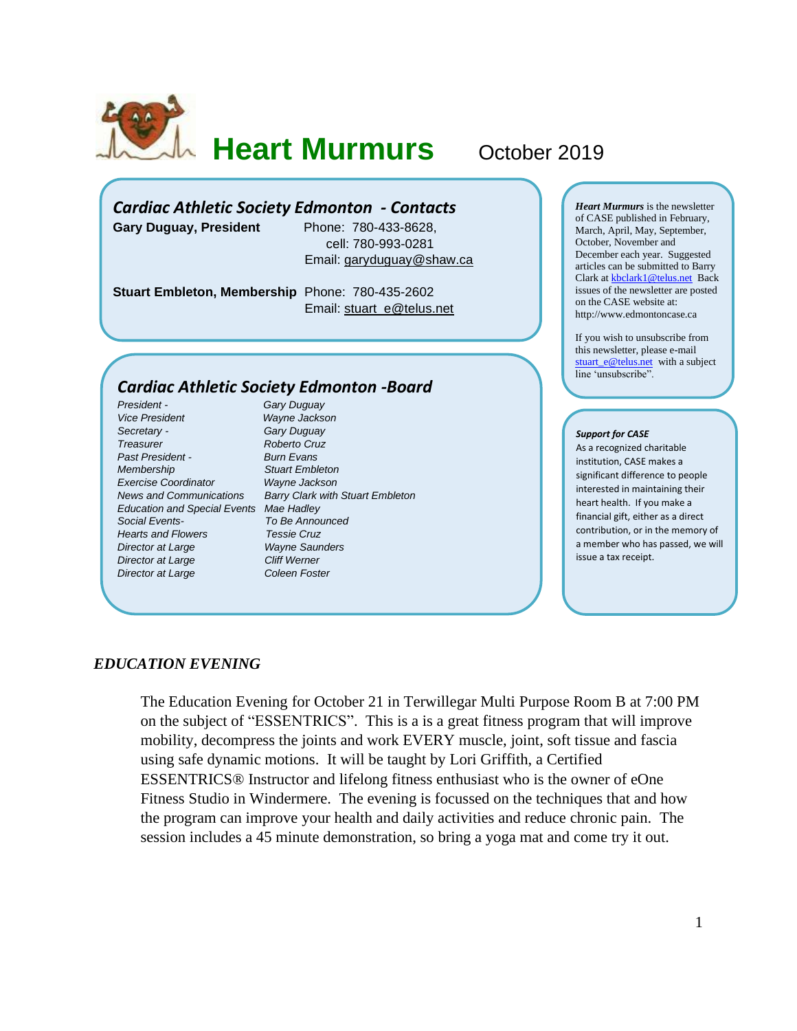

**Heart Murmurs** October 2019

# *Cardiac Athletic Society Edmonton - Contacts*

**Gary Duguay, President** Phone: 780-433-8628,

 cell: 780-993-0281 Email: [garyduguay@shaw.ca](mailto:garyduguay@shaw.ca)

**Stuart Embleton, Membership** Phone: 780-435-2602 Email: [stuart\\_e@telus.net](mailto:stuart_e@telus.net)

# *Cardiac Athletic Society Edmonton -Board*

*President - Gary Duguay Vice President Wayne Jackson Secretary - Gary Duguay Treasurer Roberto Cruz Past President - Burn Evans Membership Stuart Embleton Exercise Coordinator Wayne Jackson Education and Special Events Mae Hadley Social Events- To Be Announced Hearts and Flowers Tessie Cruz Director at Large Wayne Saunders* **Director at Large Cliff Werner Director at Large Coleen Foster** 

*News and Communications Barry Clark with Stuart Embleton*

*Heart Murmurs* is the newsletter of CASE published in February, March, April, May, September, October, November and December each year. Suggested articles can be submitted to Barry Clark a[t kbclark1@telus.net](mailto:kbclark1@telus.net) Back issues of the newsletter are posted on the CASE website at: [http://www.edmontoncase.ca](http://www.edmontoncase.ca/)

If you wish to unsubscribe from this newsletter, please e-mail [stuart\\_e@telus.net](mailto:stuart_e@telus.net) with a subject line 'unsubscribe".

#### *Support for CASE*

As a recognized charitable institution, CASE makes a significant difference to people interested in maintaining their heart health. If you make a financial gift, either as a direct contribution, or in the memory of a member who has passed, we will issue a tax receipt.

### *EDUCATION EVENING*

The Education Evening for October 21 in Terwillegar Multi Purpose Room B at 7:00 PM on the subject of "ESSENTRICS". This is a is a great fitness program that will improve mobility, decompress the joints and work EVERY muscle, joint, soft tissue and fascia using safe dynamic motions. It will be taught by Lori Griffith, a Certified ESSENTRICS® Instructor and lifelong fitness enthusiast who is the owner of eOne Fitness Studio in Windermere. The evening is focussed on the techniques that and how the program can improve your health and daily activities and reduce chronic pain. The session includes a 45 minute demonstration, so bring a yoga mat and come try it out.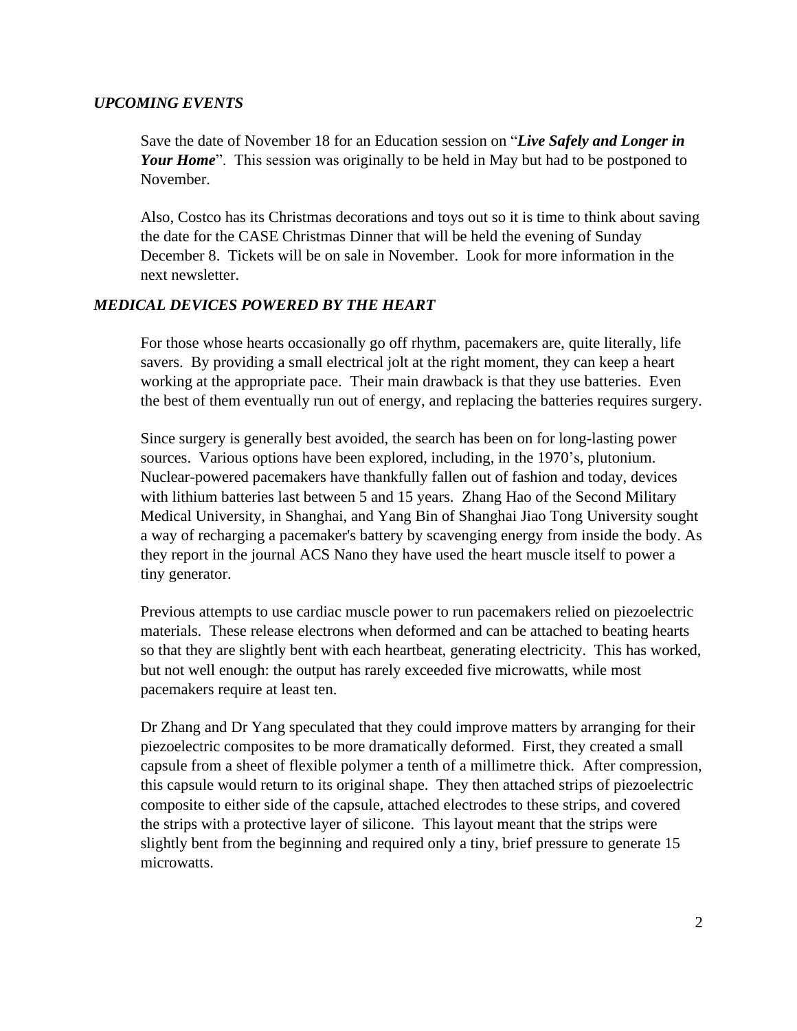# *UPCOMING EVENTS*

Save the date of November 18 for an Education session on "*Live Safely and Longer in Your Home*". This session was originally to be held in May but had to be postponed to November.

Also, Costco has its Christmas decorations and toys out so it is time to think about saving the date for the CASE Christmas Dinner that will be held the evening of Sunday December 8. Tickets will be on sale in November. Look for more information in the next newsletter.

# *MEDICAL DEVICES POWERED BY THE HEART*

For those whose hearts occasionally go off rhythm, pacemakers are, quite literally, life savers. By providing a small electrical jolt at the right moment, they can keep a heart working at the appropriate pace. Their main drawback is that they use batteries. Even the best of them eventually run out of energy, and replacing the batteries requires surgery.

Since surgery is generally best avoided, the search has been on for long-lasting power sources. Various options have been explored, including, in the 1970's, plutonium. Nuclear-powered pacemakers have thankfully fallen out of fashion and today, devices with lithium batteries last between 5 and 15 years. Zhang Hao of the Second Military Medical University, in Shanghai, and Yang Bin of Shanghai Jiao Tong University sought a way of recharging a pacemaker's battery by scavenging energy from inside the body. As they report in the journal ACS Nano they have used the heart muscle itself to power a tiny generator.

Previous attempts to use cardiac muscle power to run pacemakers relied on piezoelectric materials. These release electrons when deformed and can be attached to beating hearts so that they are slightly bent with each heartbeat, generating electricity. This has worked, but not well enough: the output has rarely exceeded five microwatts, while most pacemakers require at least ten.

Dr Zhang and Dr Yang speculated that they could improve matters by arranging for their piezoelectric composites to be more dramatically deformed. First, they created a small capsule from a sheet of flexible polymer a tenth of a millimetre thick. After compression, this capsule would return to its original shape. They then attached strips of piezoelectric composite to either side of the capsule, attached electrodes to these strips, and covered the strips with a protective layer of silicone. This layout meant that the strips were slightly bent from the beginning and required only a tiny, brief pressure to generate 15 microwatts.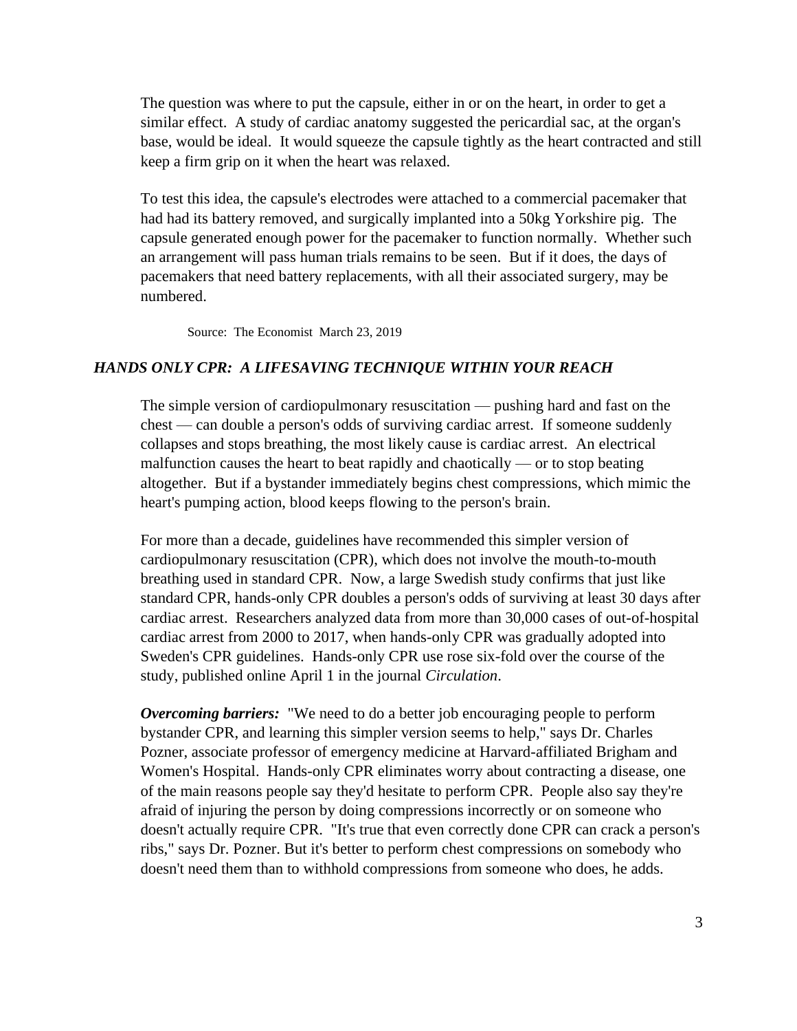The question was where to put the capsule, either in or on the heart, in order to get a similar effect. A study of cardiac anatomy suggested the pericardial sac, at the organ's base, would be ideal. It would squeeze the capsule tightly as the heart contracted and still keep a firm grip on it when the heart was relaxed.

To test this idea, the capsule's electrodes were attached to a commercial pacemaker that had had its battery removed, and surgically implanted into a 50kg Yorkshire pig. The capsule generated enough power for the pacemaker to function normally. Whether such an arrangement will pass human trials remains to be seen. But if it does, the days of pacemakers that need battery replacements, with all their associated surgery, may be numbered.

Source: The Economist March 23, 2019

## *HANDS ONLY CPR: A LIFESAVING TECHNIQUE WITHIN YOUR REACH*

The simple version of cardiopulmonary resuscitation — pushing hard and fast on the chest — can double a person's odds of surviving cardiac arrest. If someone suddenly collapses and stops breathing, the most likely cause is cardiac arrest. An electrical malfunction causes the heart to beat rapidly and chaotically — or to stop beating altogether. But if a bystander immediately begins chest compressions, which mimic the heart's pumping action, blood keeps flowing to the person's brain.

For more than a decade, guidelines have recommended this simpler version of cardiopulmonary resuscitation (CPR), which does not involve the mouth-to-mouth breathing used in standard CPR. Now, a large Swedish study confirms that just like standard CPR, hands-only CPR doubles a person's odds of surviving at least 30 days after cardiac arrest. Researchers analyzed data from more than 30,000 cases of out-of-hospital cardiac arrest from 2000 to 2017, when hands-only CPR was gradually adopted into Sweden's CPR guidelines. Hands-only CPR use rose six-fold over the course of the study, published online April 1 in the journal *Circulation*.

*Overcoming barriers:*"We need to do a better job encouraging people to perform bystander CPR, and learning this simpler version seems to help," says Dr. Charles Pozner, associate professor of emergency medicine at Harvard-affiliated Brigham and Women's Hospital. Hands-only CPR eliminates worry about contracting a disease, one of the main reasons people say they'd hesitate to perform CPR. People also say they're afraid of injuring the person by doing compressions incorrectly or on someone who doesn't actually require CPR. "It's true that even correctly done CPR can crack a person's ribs," says Dr. Pozner. But it's better to perform chest compressions on somebody who doesn't need them than to withhold compressions from someone who does, he adds.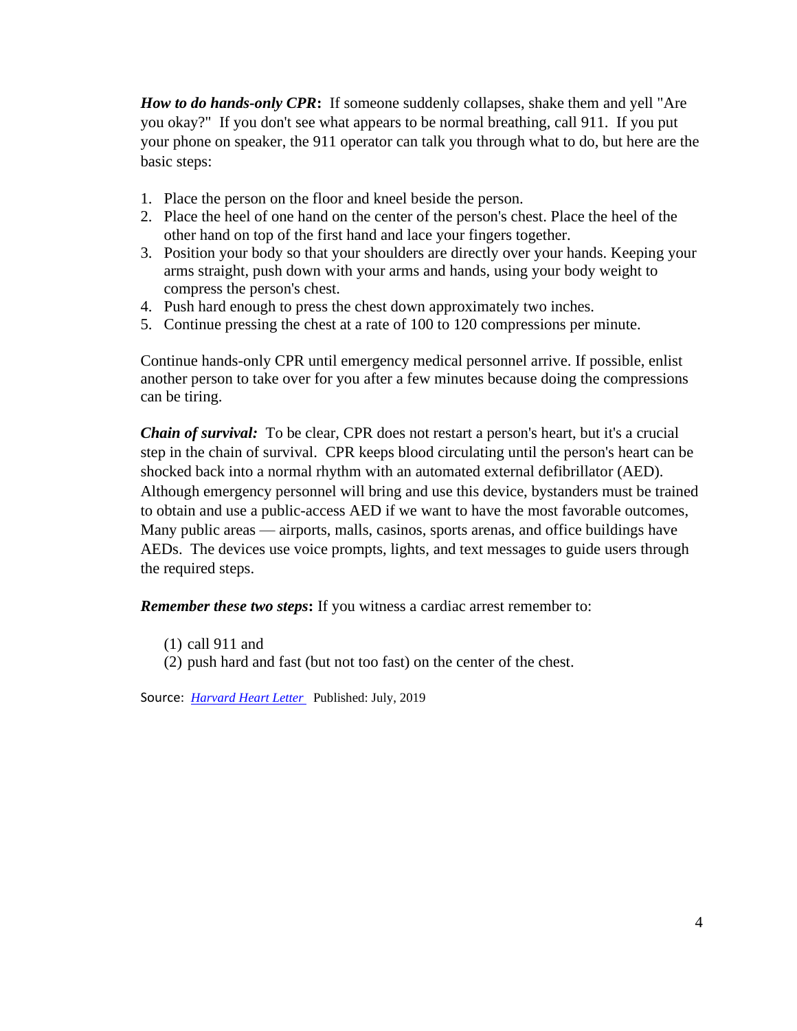*How to do hands-only CPR***:** If someone suddenly collapses, shake them and yell "Are you okay?" If you don't see what appears to be normal breathing, call 911. If you put your phone on speaker, the 911 operator can talk you through what to do, but here are the basic steps:

- 1. Place the person on the floor and kneel beside the person.
- 2. Place the heel of one hand on the center of the person's chest. Place the heel of the other hand on top of the first hand and lace your fingers together.
- 3. Position your body so that your shoulders are directly over your hands. Keeping your arms straight, push down with your arms and hands, using your body weight to compress the person's chest.
- 4. Push hard enough to press the chest down approximately two inches.
- 5. Continue pressing the chest at a rate of 100 to 120 compressions per minute.

Continue hands-only CPR until emergency medical personnel arrive. If possible, enlist another person to take over for you after a few minutes because doing the compressions can be tiring.

*Chain of survival:*To be clear, CPR does not restart a person's heart, but it's a crucial step in the chain of survival. CPR keeps blood circulating until the person's heart can be shocked back into a normal rhythm with an automated external defibrillator (AED). Although emergency personnel will bring and use this device, bystanders must be trained to obtain and use a public-access AED if we want to have the most favorable outcomes, Many public areas — airports, malls, casinos, sports arenas, and office buildings have AEDs. The devices use voice prompts, lights, and text messages to guide users through the required steps.

*Remember these two steps***:** If you witness a cardiac arrest remember to:

- (1) call 911 and
- (2) push hard and fast (but not too fast) on the center of the chest.

Source: *[Harvard Heart Letter](https://www.health.harvard.edu/newsletters/harvard_heart_letter/2019/july)* Published: July, 2019